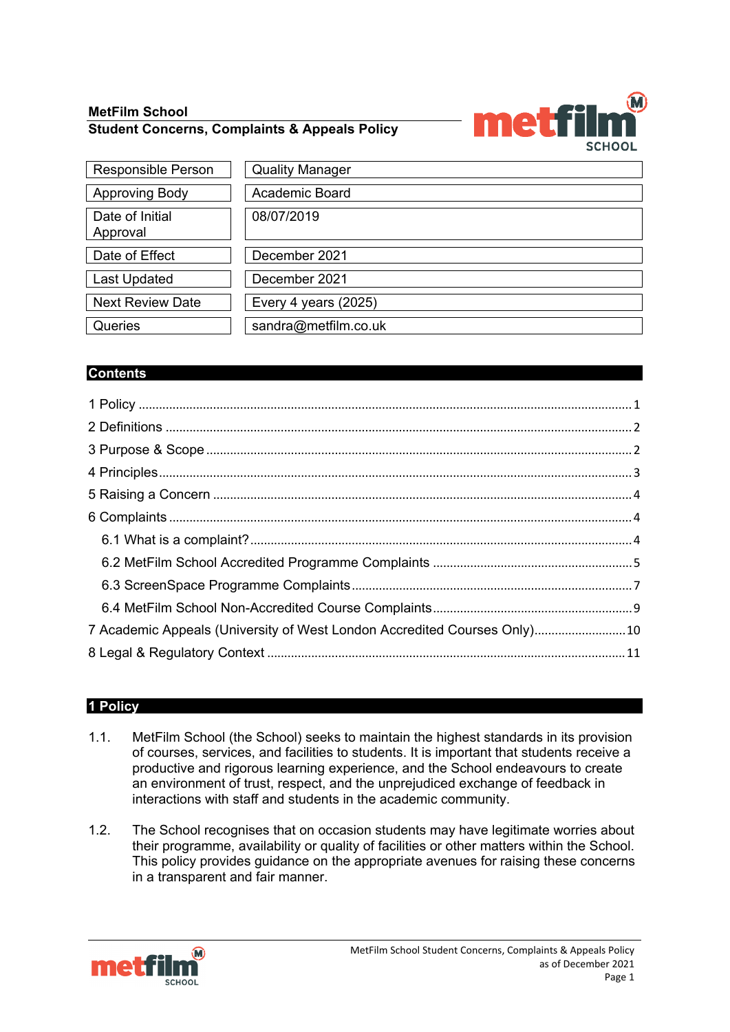# **MetFilm School Student Concerns, Complaints & Appeals Policy**



| <b>Responsible Person</b>   | <b>Quality Manager</b> |
|-----------------------------|------------------------|
| <b>Approving Body</b>       | Academic Board         |
| Date of Initial<br>Approval | 08/07/2019             |
| Date of Effect              | December 2021          |
| <b>Last Updated</b>         | December 2021          |
| <b>Next Review Date</b>     | Every 4 years $(2025)$ |
| Queries                     | sandra@metfilm.co.uk   |

# **Contents**

| 7 Academic Appeals (University of West London Accredited Courses Only)10 |  |
|--------------------------------------------------------------------------|--|
|                                                                          |  |

# <span id="page-0-0"></span>**1 Policy**

- 1.1. MetFilm School (the School) seeks to maintain the highest standards in its provision of courses, services, and facilities to students. It is important that students receive a productive and rigorous learning experience, and the School endeavours to create an environment of trust, respect, and the unprejudiced exchange of feedback in interactions with staff and students in the academic community.
- 1.2. The School recognises that on occasion students may have legitimate worries about their programme, availability or quality of facilities or other matters within the School. This policy provides guidance on the appropriate avenues for raising these concerns in a transparent and fair manner.

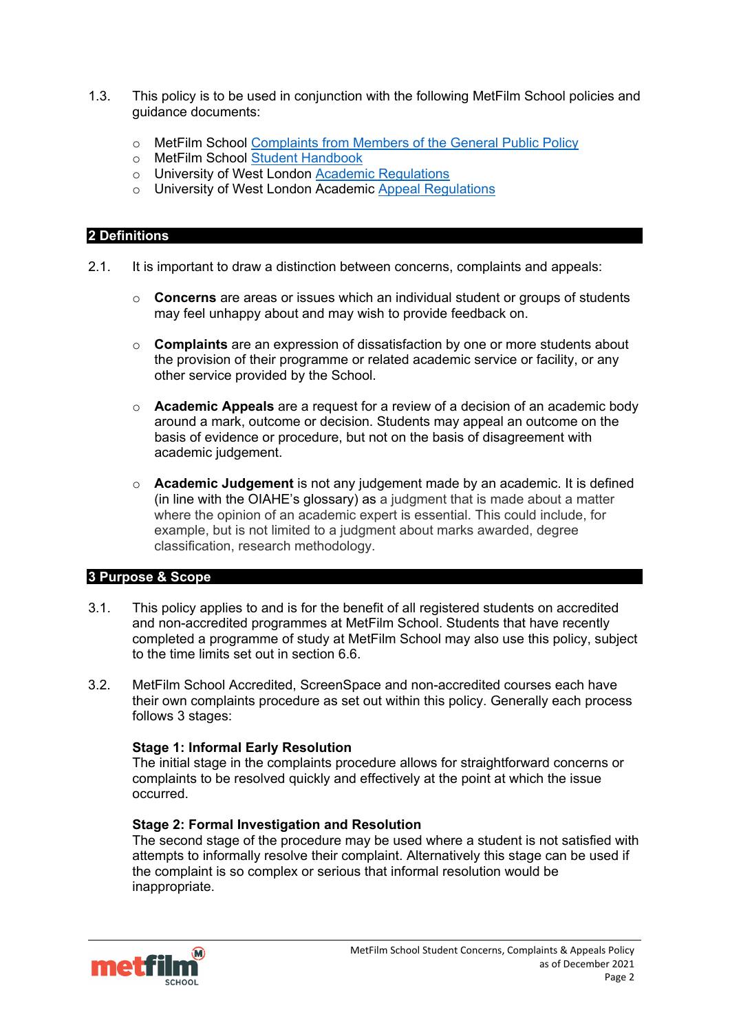- 1.3. This policy is to be used in conjunction with the following MetFilm School policies and guidance documents:
	- o MetFilm School [Complaints from Members of the General Public Policy](https://www.metfilmschool.ac.uk/whymetfilm/homewhymetfilmschool/policies-key-documents/#CMOGP)<br>
	o MetFilm School Student Handbook
	- MetFilm School [Student Handbook](https://www.metfilmschool.ac.uk/whymetfilm/homewhymetfilmschool/policies-key-documents/#STH)
	- o University of West London [Academic Regulations](https://www.uwl.ac.uk/about-us/policies-and-regulations)
	- o University of West London Academic [Appeal Regulations](https://www.uwl.ac.uk/about-us/policies-and-regulations)

#### <span id="page-1-0"></span>**2 Definitions**

- 2.1. It is important to draw a distinction between concerns, complaints and appeals:
	- o **Concerns** are areas or issues which an individual student or groups of students may feel unhappy about and may wish to provide feedback on.
	- o **Complaints** are an expression of dissatisfaction by one or more students about the provision of their programme or related academic service or facility, or any other service provided by the School.
	- o **Academic Appeals** are a request for a review of a decision of an academic body around a mark, outcome or decision. Students may appeal an outcome on the basis of evidence or procedure, but not on the basis of disagreement with academic judgement.
	- o **Academic Judgement** is not any judgement made by an academic. It is defined (in line with the OIAHE's glossary) as a judgment that is made about a matter where the opinion of an academic expert is essential. This could include, for example, but is not limited to a judgment about marks awarded, degree classification, research methodology.

#### <span id="page-1-1"></span>**3 Purpose & Scope**

- 3.1. This policy applies to and is for the benefit of all registered students on accredited and non-accredited programmes at MetFilm School. Students that have recently completed a programme of study at MetFilm School may also use this policy, subject to the time limits set out in section 6.6.
- 3.2. MetFilm School Accredited, ScreenSpace and non-accredited courses each have their own complaints procedure as set out within this policy. Generally each process follows 3 stages:

#### **Stage 1: Informal Early Resolution**

The initial stage in the complaints procedure allows for straightforward concerns or complaints to be resolved quickly and effectively at the point at which the issue occurred.

#### **Stage 2: Formal Investigation and Resolution**

The second stage of the procedure may be used where a student is not satisfied with attempts to informally resolve their complaint. Alternatively this stage can be used if the complaint is so complex or serious that informal resolution would be inappropriate.

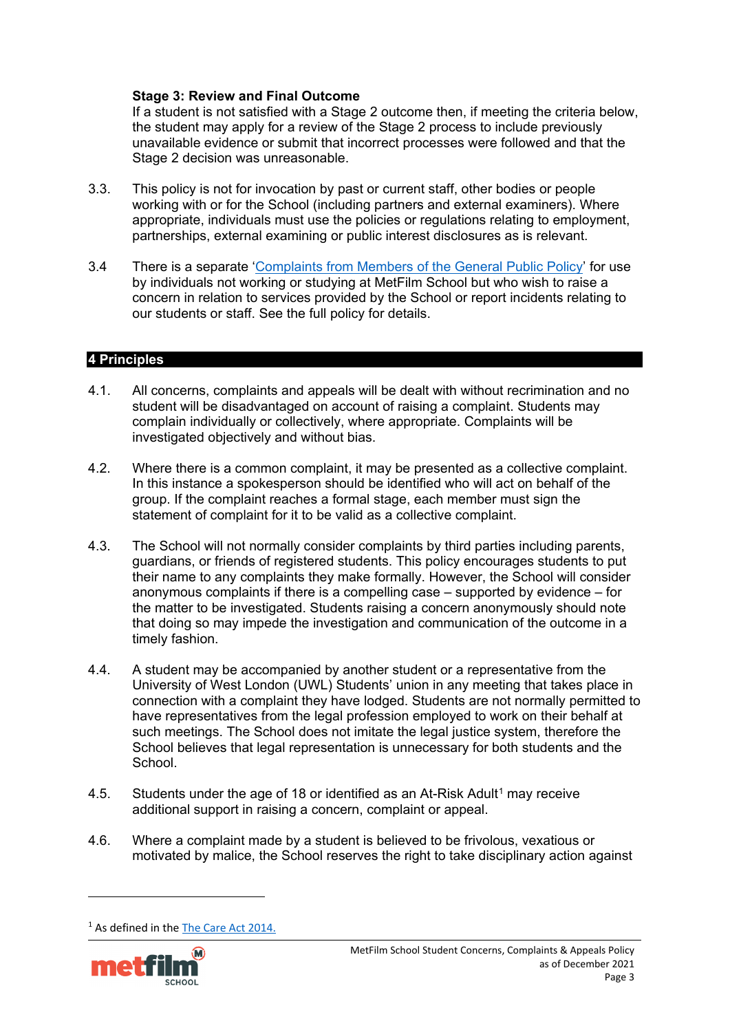### **Stage 3: Review and Final Outcome**

If a student is not satisfied with a Stage 2 outcome then, if meeting the criteria below, the student may apply for a review of the Stage 2 process to include previously unavailable evidence or submit that incorrect processes were followed and that the Stage 2 decision was unreasonable.

- 3.3. This policy is not for invocation by past or current staff, other bodies or people working with or for the School (including partners and external examiners). Where appropriate, individuals must use the policies or regulations relating to employment, partnerships, external examining or public interest disclosures as is relevant.
- 3.4 There is a separate ['Complaints from Members of the General Public Policy'](https://www.metfilmschool.ac.uk/whymetfilm/homewhymetfilmschool/policies-key-documents/#CMOGP) for use by individuals not working or studying at MetFilm School but who wish to raise a concern in relation to services provided by the School or report incidents relating to our students or staff. See the full policy for details.

### <span id="page-2-0"></span>**4 Principles**

- 4.1. All concerns, complaints and appeals will be dealt with without recrimination and no student will be disadvantaged on account of raising a complaint. Students may complain individually or collectively, where appropriate. Complaints will be investigated objectively and without bias.
- 4.2. Where there is a common complaint, it may be presented as a collective complaint. In this instance a spokesperson should be identified who will act on behalf of the group. If the complaint reaches a formal stage, each member must sign the statement of complaint for it to be valid as a collective complaint.
- 4.3. The School will not normally consider complaints by third parties including parents, guardians, or friends of registered students. This policy encourages students to put their name to any complaints they make formally. However, the School will consider anonymous complaints if there is a compelling case – supported by evidence – for the matter to be investigated. Students raising a concern anonymously should note that doing so may impede the investigation and communication of the outcome in a timely fashion.
- 4.4. A student may be accompanied by another student or a representative from the University of West London (UWL) Students' union in any meeting that takes place in connection with a complaint they have lodged. Students are not normally permitted to have representatives from the legal profession employed to work on their behalf at such meetings. The School does not imitate the legal justice system, therefore the School believes that legal representation is unnecessary for both students and the School.
- 4.5. Students under the age of [1](#page-2-1)8 or identified as an At-Risk Adult<sup>1</sup> may receive additional support in raising a concern, complaint or appeal.
- 4.6. Where a complaint made by a student is believed to be frivolous, vexatious or motivated by malice, the School reserves the right to take disciplinary action against

<span id="page-2-1"></span><sup>&</sup>lt;sup>1</sup> As defined in th[e The Care Act 2014.](https://www.legislation.gov.uk/ukpga/2014/23/contents/enacted)

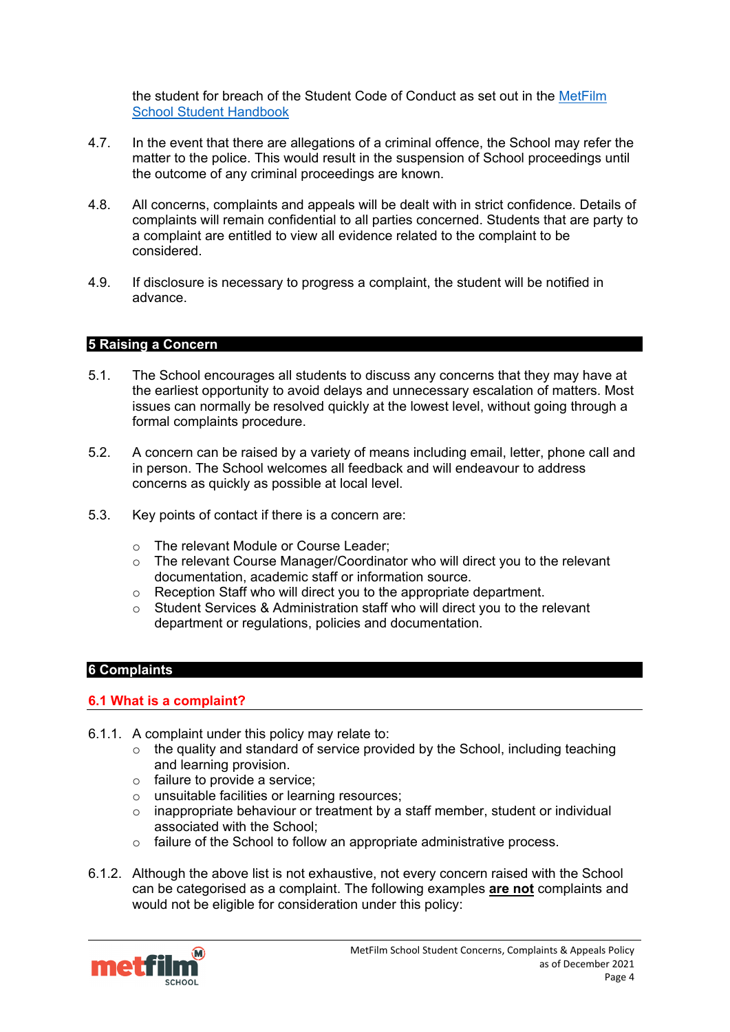the student for breach of the Student Code of Conduct as set out in the [MetFilm](https://www.metfilmschool.ac.uk/whymetfilm/homewhymetfilmschool/policies-key-documents/#STH)  [School Student Handbook](https://www.metfilmschool.ac.uk/whymetfilm/homewhymetfilmschool/policies-key-documents/#STH)

- 4.7. In the event that there are allegations of a criminal offence, the School may refer the matter to the police. This would result in the suspension of School proceedings until the outcome of any criminal proceedings are known.
- 4.8. All concerns, complaints and appeals will be dealt with in strict confidence. Details of complaints will remain confidential to all parties concerned. Students that are party to a complaint are entitled to view all evidence related to the complaint to be considered.
- 4.9. If disclosure is necessary to progress a complaint, the student will be notified in advance.

## <span id="page-3-0"></span>**5 Raising a Concern**

- 5.1. The School encourages all students to discuss any concerns that they may have at the earliest opportunity to avoid delays and unnecessary escalation of matters. Most issues can normally be resolved quickly at the lowest level, without going through a formal complaints procedure.
- 5.2. A concern can be raised by a variety of means including email, letter, phone call and in person. The School welcomes all feedback and will endeavour to address concerns as quickly as possible at local level.
- 5.3. Key points of contact if there is a concern are:
	- o The relevant Module or Course Leader;
	- $\circ$  The relevant Course Manager/Coordinator who will direct you to the relevant documentation, academic staff or information source.
	- o Reception Staff who will direct you to the appropriate department.
	- o Student Services & Administration staff who will direct you to the relevant department or regulations, policies and documentation.

## <span id="page-3-1"></span>**6 Complaints**

#### <span id="page-3-2"></span>**6.1 What is a complaint?**

- 6.1.1. A complaint under this policy may relate to:
	- $\circ$  the quality and standard of service provided by the School, including teaching and learning provision.
	- o failure to provide a service;
	- o unsuitable facilities or learning resources;<br>
	o inappropriate behaviour or treatment by a
	- inappropriate behaviour or treatment by a staff member, student or individual associated with the School;
	- o failure of the School to follow an appropriate administrative process.
- 6.1.2. Although the above list is not exhaustive, not every concern raised with the School can be categorised as a complaint. The following examples **are not** complaints and would not be eligible for consideration under this policy:

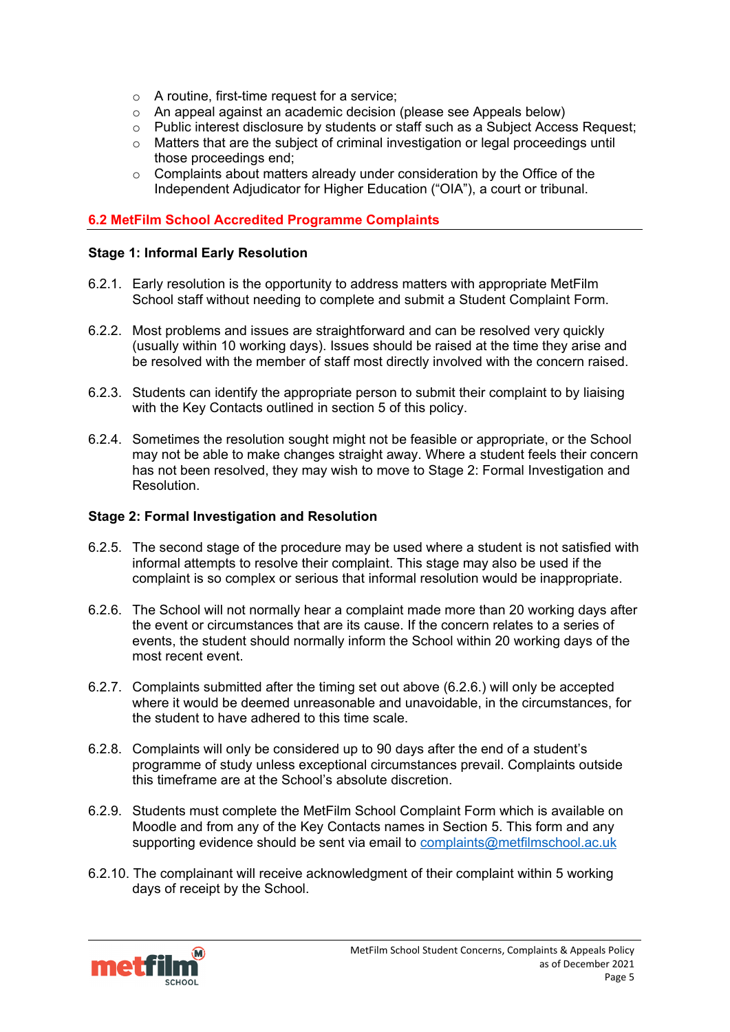- o A routine, first-time request for a service;
- o An appeal against an academic decision (please see Appeals below)
- o Public interest disclosure by students or staff such as a Subject Access Request;
- $\circ$  Matters that are the subject of criminal investigation or legal proceedings until those proceedings end;
- o Complaints about matters already under consideration by the Office of the Independent Adjudicator for Higher Education ("OIA"), a court or tribunal.

# <span id="page-4-0"></span>**6.2 MetFilm School Accredited Programme Complaints**

### **Stage 1: Informal Early Resolution**

- 6.2.1. Early resolution is the opportunity to address matters with appropriate MetFilm School staff without needing to complete and submit a Student Complaint Form.
- 6.2.2. Most problems and issues are straightforward and can be resolved very quickly (usually within 10 working days). Issues should be raised at the time they arise and be resolved with the member of staff most directly involved with the concern raised.
- 6.2.3. Students can identify the appropriate person to submit their complaint to by liaising with the Key Contacts outlined in section 5 of this policy.
- 6.2.4. Sometimes the resolution sought might not be feasible or appropriate, or the School may not be able to make changes straight away. Where a student feels their concern has not been resolved, they may wish to move to Stage 2: Formal Investigation and Resolution.

### **Stage 2: Formal Investigation and Resolution**

- 6.2.5. The second stage of the procedure may be used where a student is not satisfied with informal attempts to resolve their complaint. This stage may also be used if the complaint is so complex or serious that informal resolution would be inappropriate.
- 6.2.6. The School will not normally hear a complaint made more than 20 working days after the event or circumstances that are its cause. If the concern relates to a series of events, the student should normally inform the School within 20 working days of the most recent event.
- 6.2.7. Complaints submitted after the timing set out above (6.2.6.) will only be accepted where it would be deemed unreasonable and unavoidable, in the circumstances, for the student to have adhered to this time scale.
- 6.2.8. Complaints will only be considered up to 90 days after the end of a student's programme of study unless exceptional circumstances prevail. Complaints outside this timeframe are at the School's absolute discretion.
- 6.2.9. Students must complete the MetFilm School Complaint Form which is available on Moodle and from any of the Key Contacts names in Section 5. This form and any supporting evidence should be sent via email to [complaints@metfilmschool.ac.uk](mailto:complaints@metfilmschool.ac.uk)
- 6.2.10. The complainant will receive acknowledgment of their complaint within 5 working days of receipt by the School.

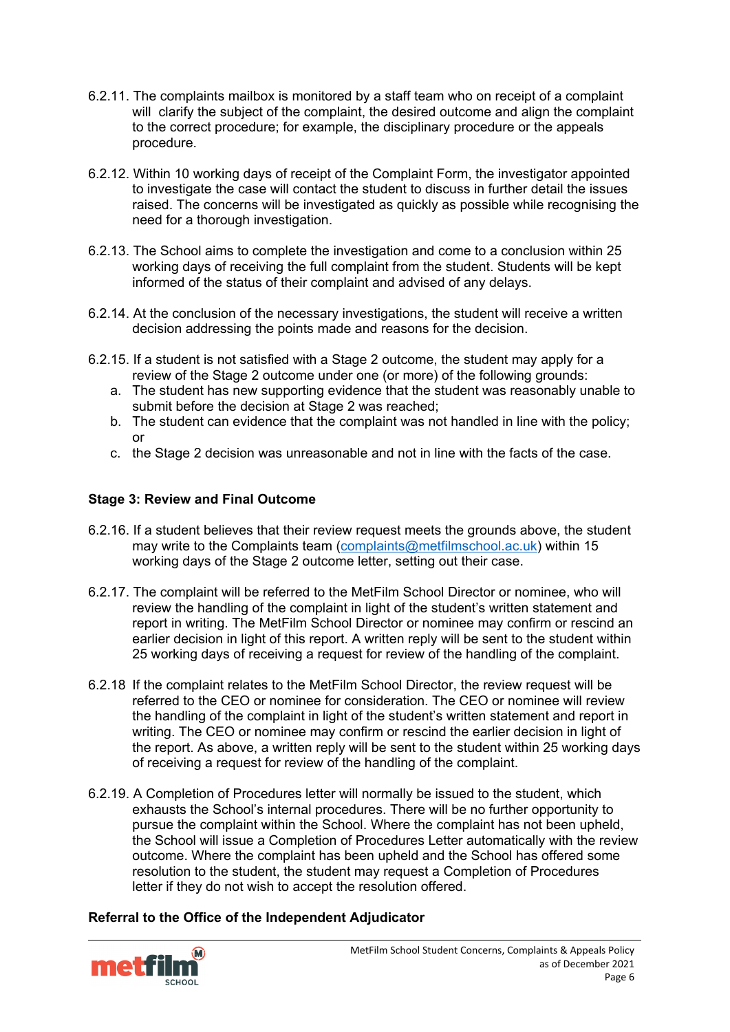- 6.2.11. The complaints mailbox is monitored by a staff team who on receipt of a complaint will clarify the subject of the complaint, the desired outcome and align the complaint to the correct procedure; for example, the disciplinary procedure or the appeals procedure.
- 6.2.12. Within 10 working days of receipt of the Complaint Form, the investigator appointed to investigate the case will contact the student to discuss in further detail the issues raised. The concerns will be investigated as quickly as possible while recognising the need for a thorough investigation.
- 6.2.13. The School aims to complete the investigation and come to a conclusion within 25 working days of receiving the full complaint from the student. Students will be kept informed of the status of their complaint and advised of any delays.
- 6.2.14. At the conclusion of the necessary investigations, the student will receive a written decision addressing the points made and reasons for the decision.
- 6.2.15. If a student is not satisfied with a Stage 2 outcome, the student may apply for a review of the Stage 2 outcome under one (or more) of the following grounds:
	- a. The student has new supporting evidence that the student was reasonably unable to submit before the decision at Stage 2 was reached;
	- b. The student can evidence that the complaint was not handled in line with the policy; or
	- c. the Stage 2 decision was unreasonable and not in line with the facts of the case.

# **Stage 3: Review and Final Outcome**

- 6.2.16. If a student believes that their review request meets the grounds above, the student may write to the Complaints team (complaints@metfilmschool.ac.uk) within 15 working days of the Stage 2 outcome letter, setting out their case.
- 6.2.17. The complaint will be referred to the MetFilm School Director or nominee, who will review the handling of the complaint in light of the student's written statement and report in writing. The MetFilm School Director or nominee may confirm or rescind an earlier decision in light of this report. A written reply will be sent to the student within 25 working days of receiving a request for review of the handling of the complaint.
- 6.2.18 If the complaint relates to the MetFilm School Director, the review request will be referred to the CEO or nominee for consideration. The CEO or nominee will review the handling of the complaint in light of the student's written statement and report in writing. The CEO or nominee may confirm or rescind the earlier decision in light of the report. As above, a written reply will be sent to the student within 25 working days of receiving a request for review of the handling of the complaint.
- 6.2.19. A Completion of Procedures letter will normally be issued to the student, which exhausts the School's internal procedures. There will be no further opportunity to pursue the complaint within the School. Where the complaint has not been upheld, the School will issue a Completion of Procedures Letter automatically with the review outcome. Where the complaint has been upheld and the School has offered some resolution to the student, the student may request a Completion of Procedures letter if they do not wish to accept the resolution offered.

## **Referral to the Office of the Independent Adjudicator**

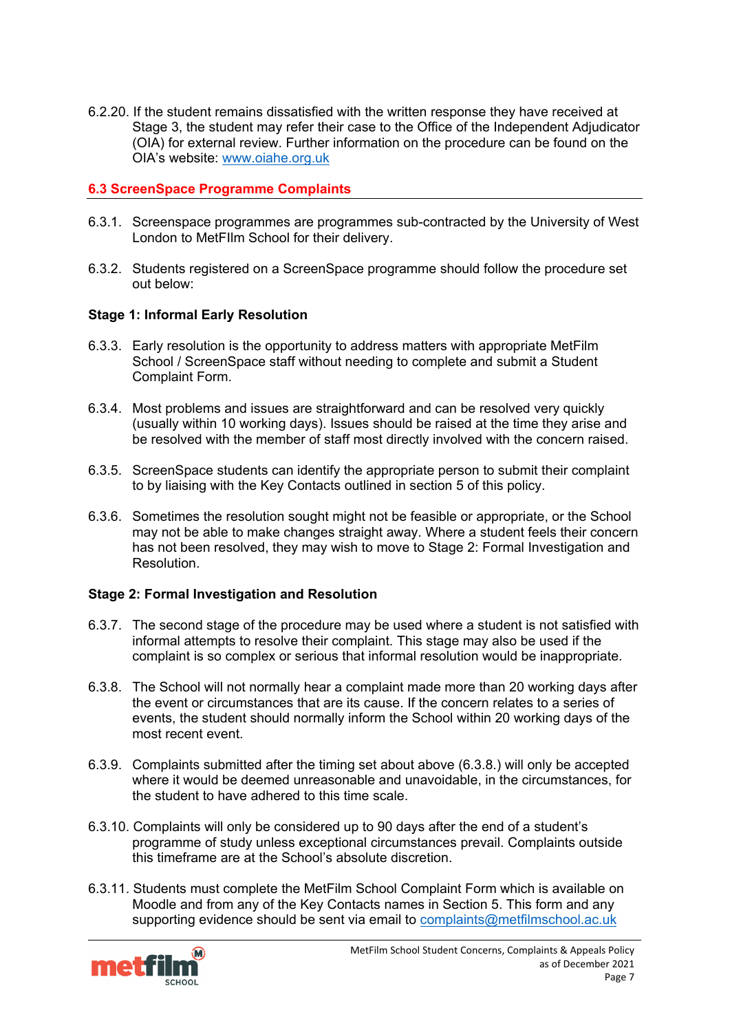6.2.20. If the student remains dissatisfied with the written response they have received at Stage 3, the student may refer their case to the Office of the Independent Adjudicator (OIA) for external review. Further information on the procedure can be found on the OIA's website: [www.oiahe.org.uk](http://www.oiahe.org.uk/)

### <span id="page-6-0"></span>**6.3 ScreenSpace Programme Complaints**

- 6.3.1. Screenspace programmes are programmes sub-contracted by the University of West London to MetFIlm School for their delivery.
- 6.3.2. Students registered on a ScreenSpace programme should follow the procedure set out below:

### **Stage 1: Informal Early Resolution**

- 6.3.3. Early resolution is the opportunity to address matters with appropriate MetFilm School / ScreenSpace staff without needing to complete and submit a Student Complaint Form.
- 6.3.4. Most problems and issues are straightforward and can be resolved very quickly (usually within 10 working days). Issues should be raised at the time they arise and be resolved with the member of staff most directly involved with the concern raised.
- 6.3.5. ScreenSpace students can identify the appropriate person to submit their complaint to by liaising with the Key Contacts outlined in section 5 of this policy.
- 6.3.6. Sometimes the resolution sought might not be feasible or appropriate, or the School may not be able to make changes straight away. Where a student feels their concern has not been resolved, they may wish to move to Stage 2: Formal Investigation and Resolution.

#### **Stage 2: Formal Investigation and Resolution**

- 6.3.7. The second stage of the procedure may be used where a student is not satisfied with informal attempts to resolve their complaint. This stage may also be used if the complaint is so complex or serious that informal resolution would be inappropriate.
- 6.3.8. The School will not normally hear a complaint made more than 20 working days after the event or circumstances that are its cause. If the concern relates to a series of events, the student should normally inform the School within 20 working days of the most recent event.
- 6.3.9. Complaints submitted after the timing set about above (6.3.8.) will only be accepted where it would be deemed unreasonable and unavoidable, in the circumstances, for the student to have adhered to this time scale.
- 6.3.10. Complaints will only be considered up to 90 days after the end of a student's programme of study unless exceptional circumstances prevail. Complaints outside this timeframe are at the School's absolute discretion.
- 6.3.11. Students must complete the MetFilm School Complaint Form which is available on Moodle and from any of the Key Contacts names in Section 5. This form and any supporting evidence should be sent via email to [complaints@metfilmschool.ac.uk](mailto:complaints@metfilmschool.ac.uk)

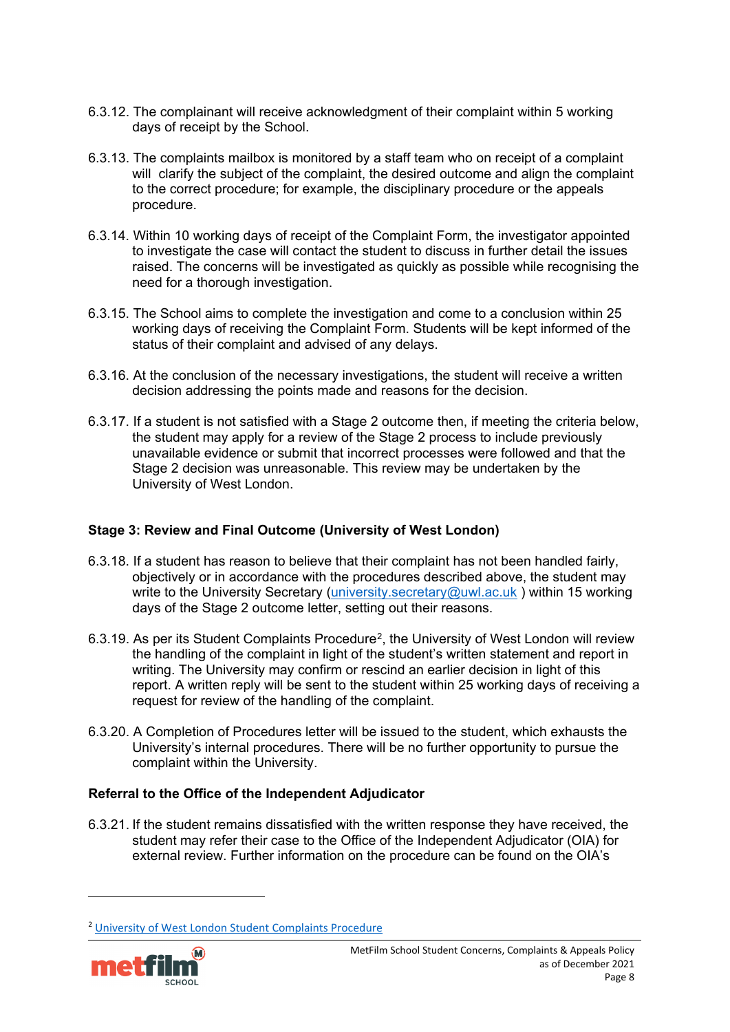- 6.3.12. The complainant will receive acknowledgment of their complaint within 5 working days of receipt by the School.
- 6.3.13. The complaints mailbox is monitored by a staff team who on receipt of a complaint will clarify the subject of the complaint, the desired outcome and align the complaint to the correct procedure; for example, the disciplinary procedure or the appeals procedure.
- 6.3.14. Within 10 working days of receipt of the Complaint Form, the investigator appointed to investigate the case will contact the student to discuss in further detail the issues raised. The concerns will be investigated as quickly as possible while recognising the need for a thorough investigation.
- 6.3.15. The School aims to complete the investigation and come to a conclusion within 25 working days of receiving the Complaint Form. Students will be kept informed of the status of their complaint and advised of any delays.
- 6.3.16. At the conclusion of the necessary investigations, the student will receive a written decision addressing the points made and reasons for the decision.
- 6.3.17. If a student is not satisfied with a Stage 2 outcome then, if meeting the criteria below, the student may apply for a review of the Stage 2 process to include previously unavailable evidence or submit that incorrect processes were followed and that the Stage 2 decision was unreasonable. This review may be undertaken by the University of West London.

## **Stage 3: Review and Final Outcome (University of West London)**

- 6.3.18. If a student has reason to believe that their complaint has not been handled fairly, objectively or in accordance with the procedures described above, the student may write to the University Secretary [\(university.secretary@uwl.ac.uk](mailto:university.secretary@uwl.ac.uk)) within 15 working days of the Stage 2 outcome letter, setting out their reasons.
- 6.3.19. As per its Student Complaints Procedure[2,](#page-7-0) the University of West London will review the handling of the complaint in light of the student's written statement and report in writing. The University may confirm or rescind an earlier decision in light of this report. A written reply will be sent to the student within 25 working days of receiving a request for review of the handling of the complaint.
- 6.3.20. A Completion of Procedures letter will be issued to the student, which exhausts the University's internal procedures. There will be no further opportunity to pursue the complaint within the University.

## **Referral to the Office of the Independent Adjudicator**

6.3.21. If the student remains dissatisfied with the written response they have received, the student may refer their case to the Office of the Independent Adjudicator (OIA) for external review. Further information on the procedure can be found on the OIA's

<span id="page-7-0"></span><sup>&</sup>lt;sup>2</sup> [University of West London Student Complaints Procedure](https://www.uwl.ac.uk/sites/uwl/files/2021-08/student_complaints_procedure_2019.pdf?_ga=2.234731480.739724513.1629968592-1251533180.1623926119)

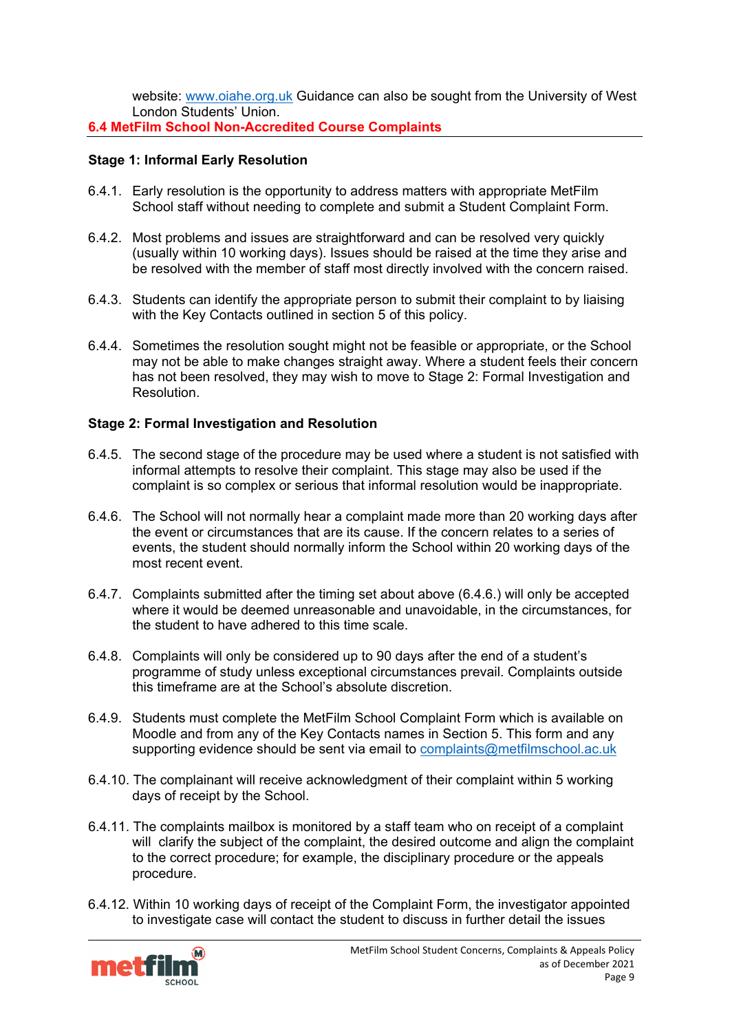website: [www.oiahe.org.uk](http://www.oiahe.org.uk/) Guidance can also be sought from the University of West London Students' Union.

<span id="page-8-0"></span>**6.4 MetFilm School Non-Accredited Course Complaints**

# **Stage 1: Informal Early Resolution**

- 6.4.1. Early resolution is the opportunity to address matters with appropriate MetFilm School staff without needing to complete and submit a Student Complaint Form.
- 6.4.2. Most problems and issues are straightforward and can be resolved very quickly (usually within 10 working days). Issues should be raised at the time they arise and be resolved with the member of staff most directly involved with the concern raised.
- 6.4.3. Students can identify the appropriate person to submit their complaint to by liaising with the Key Contacts outlined in section 5 of this policy.
- 6.4.4. Sometimes the resolution sought might not be feasible or appropriate, or the School may not be able to make changes straight away. Where a student feels their concern has not been resolved, they may wish to move to Stage 2: Formal Investigation and Resolution.

# **Stage 2: Formal Investigation and Resolution**

- 6.4.5. The second stage of the procedure may be used where a student is not satisfied with informal attempts to resolve their complaint. This stage may also be used if the complaint is so complex or serious that informal resolution would be inappropriate.
- 6.4.6. The School will not normally hear a complaint made more than 20 working days after the event or circumstances that are its cause. If the concern relates to a series of events, the student should normally inform the School within 20 working days of the most recent event.
- 6.4.7. Complaints submitted after the timing set about above (6.4.6.) will only be accepted where it would be deemed unreasonable and unavoidable, in the circumstances, for the student to have adhered to this time scale.
- 6.4.8. Complaints will only be considered up to 90 days after the end of a student's programme of study unless exceptional circumstances prevail. Complaints outside this timeframe are at the School's absolute discretion.
- 6.4.9. Students must complete the MetFilm School Complaint Form which is available on Moodle and from any of the Key Contacts names in Section 5. This form and any supporting evidence should be sent via email to [complaints@metfilmschool.ac.uk](mailto:complaints@metfilmschool.ac.uk)
- 6.4.10. The complainant will receive acknowledgment of their complaint within 5 working days of receipt by the School.
- 6.4.11. The complaints mailbox is monitored by a staff team who on receipt of a complaint will clarify the subject of the complaint, the desired outcome and align the complaint to the correct procedure; for example, the disciplinary procedure or the appeals procedure.
- 6.4.12. Within 10 working days of receipt of the Complaint Form, the investigator appointed to investigate case will contact the student to discuss in further detail the issues

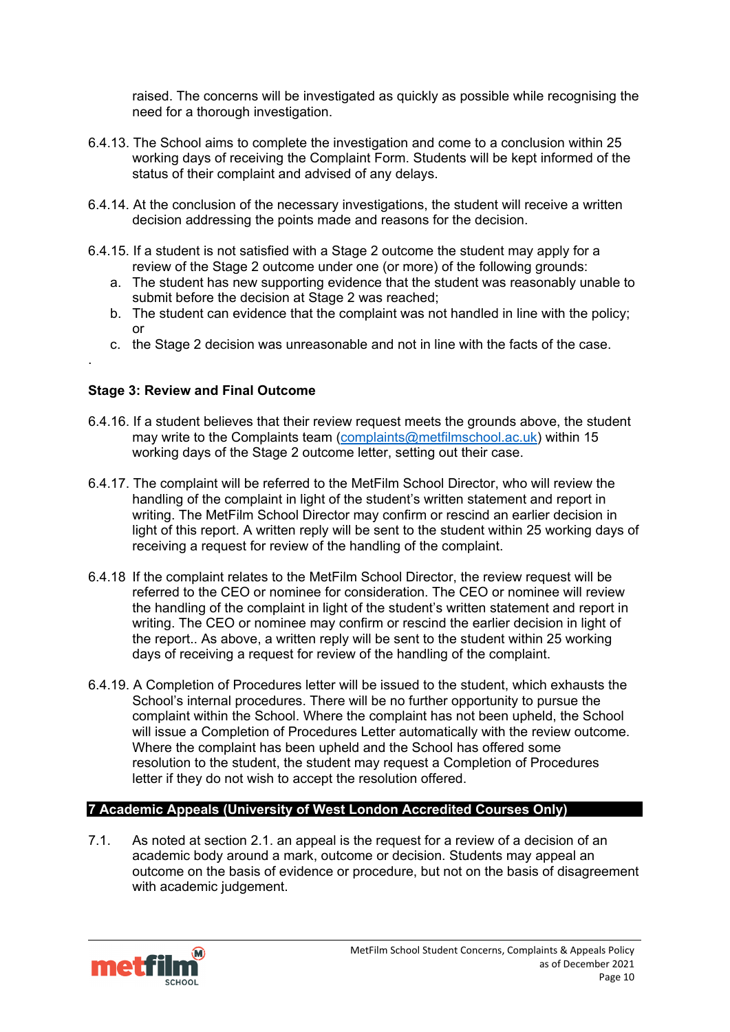raised. The concerns will be investigated as quickly as possible while recognising the need for a thorough investigation.

- 6.4.13. The School aims to complete the investigation and come to a conclusion within 25 working days of receiving the Complaint Form. Students will be kept informed of the status of their complaint and advised of any delays.
- 6.4.14. At the conclusion of the necessary investigations, the student will receive a written decision addressing the points made and reasons for the decision.
- 6.4.15. If a student is not satisfied with a Stage 2 outcome the student may apply for a review of the Stage 2 outcome under one (or more) of the following grounds:
	- a. The student has new supporting evidence that the student was reasonably unable to submit before the decision at Stage 2 was reached;
	- b. The student can evidence that the complaint was not handled in line with the policy; or
	- c. the Stage 2 decision was unreasonable and not in line with the facts of the case.

## **Stage 3: Review and Final Outcome**

.

- 6.4.16. If a student believes that their review request meets the grounds above, the student may write to the Complaints team (complaints@metfilmschool.ac.uk) within 15 working days of the Stage 2 outcome letter, setting out their case.
- 6.4.17. The complaint will be referred to the MetFilm School Director, who will review the handling of the complaint in light of the student's written statement and report in writing. The MetFilm School Director may confirm or rescind an earlier decision in light of this report. A written reply will be sent to the student within 25 working days of receiving a request for review of the handling of the complaint.
- 6.4.18 If the complaint relates to the MetFilm School Director, the review request will be referred to the CEO or nominee for consideration. The CEO or nominee will review the handling of the complaint in light of the student's written statement and report in writing. The CEO or nominee may confirm or rescind the earlier decision in light of the report.. As above, a written reply will be sent to the student within 25 working days of receiving a request for review of the handling of the complaint.
- 6.4.19. A Completion of Procedures letter will be issued to the student, which exhausts the School's internal procedures. There will be no further opportunity to pursue the complaint within the School. Where the complaint has not been upheld, the School will issue a Completion of Procedures Letter automatically with the review outcome. Where the complaint has been upheld and the School has offered some resolution to the student, the student may request a Completion of Procedures letter if they do not wish to accept the resolution offered.

# <span id="page-9-0"></span>**7 Academic Appeals (University of West London Accredited Courses Only)**

7.1. As noted at section 2.1. an appeal is the request for a review of a decision of an academic body around a mark, outcome or decision. Students may appeal an outcome on the basis of evidence or procedure, but not on the basis of disagreement with academic judgement.